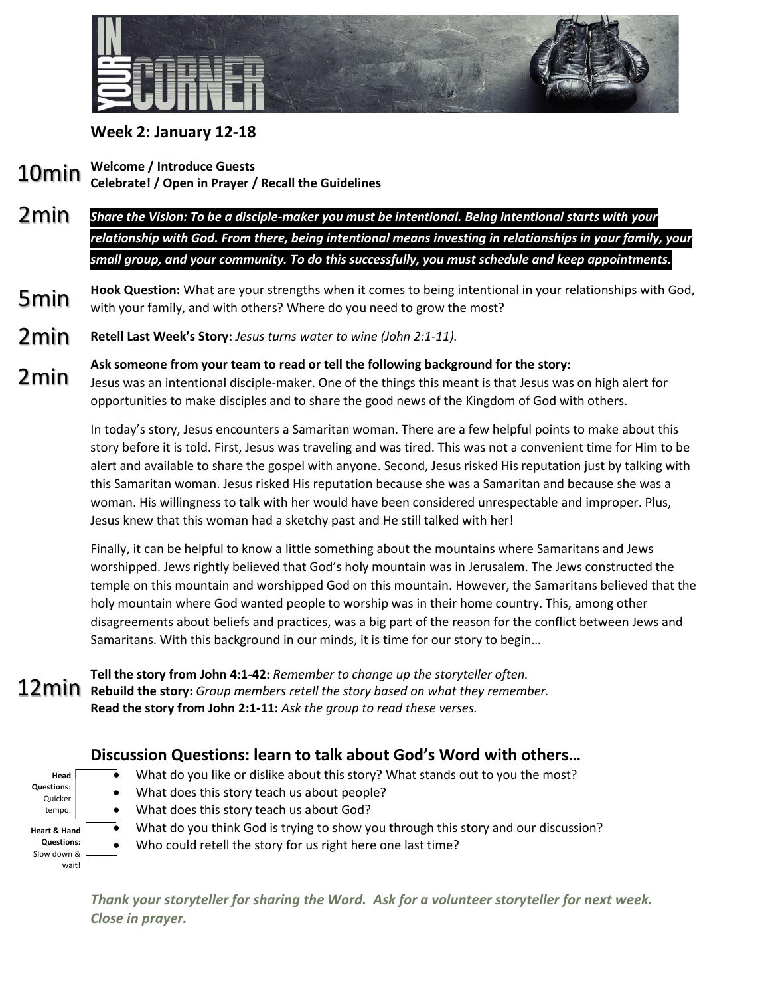

## **Week 2: January 12-18**

**Welcome / Introduce Guests Celebrate! / Open in Prayer / Recall the Guidelines** 10min

- *Share the Vision: To be a disciple-maker you must be intentional. Being intentional starts with your relationship with God. From there, being intentional means investing in relationships in your family, your small group, and your community. To do this successfully, you must schedule and keep appointments.*  2min
- **Hook Question:** What are your strengths when it comes to being intentional in your relationships with God, with your family, and with others? Where do you need to grow the most? 5min
- **Retell Last Week's Story:** *Jesus turns water to wine (John 2:1-11).* 2min
- **Ask someone from your team to read or tell the following background for the story:** Jesus was an intentional disciple-maker. One of the things this meant is that Jesus was on high alert for opportunities to make disciples and to share the good news of the Kingdom of God with others. 2min

In today's story, Jesus encounters a Samaritan woman. There are a few helpful points to make about this story before it is told. First, Jesus was traveling and was tired. This was not a convenient time for Him to be alert and available to share the gospel with anyone. Second, Jesus risked His reputation just by talking with this Samaritan woman. Jesus risked His reputation because she was a Samaritan and because she was a woman. His willingness to talk with her would have been considered unrespectable and improper. Plus, Jesus knew that this woman had a sketchy past and He still talked with her!

Finally, it can be helpful to know a little something about the mountains where Samaritans and Jews worshipped. Jews rightly believed that God's holy mountain was in Jerusalem. The Jews constructed the temple on this mountain and worshipped God on this mountain. However, the Samaritans believed that the holy mountain where God wanted people to worship was in their home country. This, among other disagreements about beliefs and practices, was a big part of the reason for the conflict between Jews and Samaritans. With this background in our minds, it is time for our story to begin…

**Tell the story from John 4:1-42:** *Remember to change up the storyteller often.* **Rebuild the story:** *Group members retell the story based on what they remember.* **Read the story from John 2:1-11:** *Ask the group to read these verses.* 12min

## **Discussion Questions: learn to talk about God's Word with others…**

- $\bullet$  What do you like or dislike about this story? What stands out to you the most?
- **Head Questions:** Quicker tempo. **Heart & Hand Questions:**  Slow down & wait!
- What does this story teach us about people? • What does this story teach us about God?
- $\bar{\bullet}$  What do you think God is trying to show you through this story and our discussion?
- Who could retell the story for us right here one last time?

*Thank your storyteller for sharing the Word. Ask for a volunteer storyteller for next week. Close in prayer.*